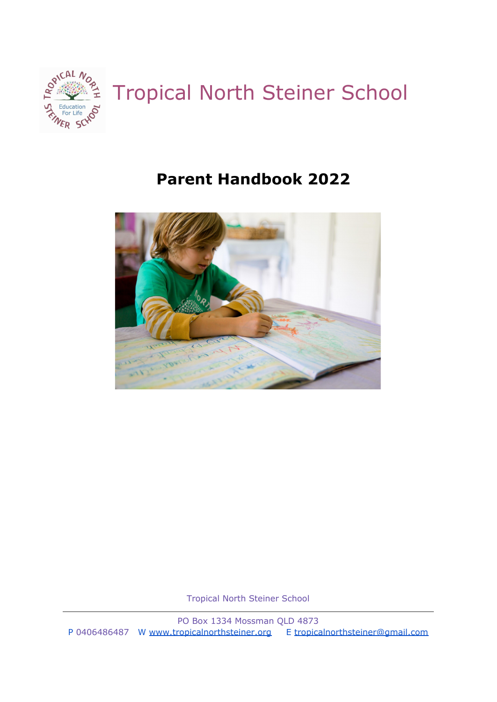

# **Parent Handbook 2022**



Tropical North Steiner School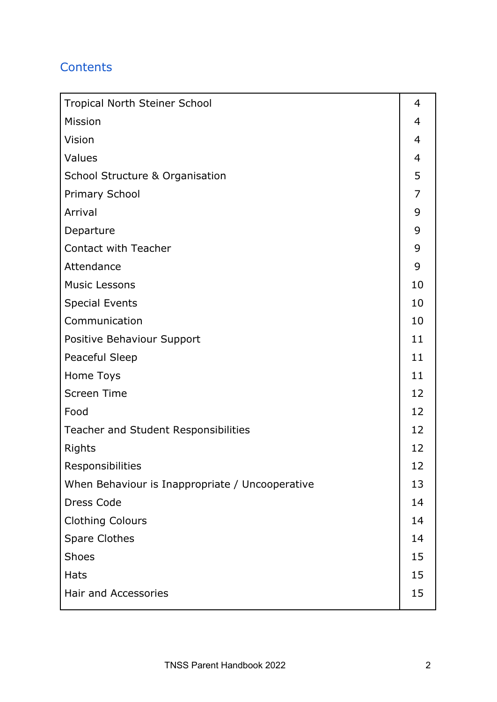# **Contents**

| Tropical North Steiner School                   |    |  |
|-------------------------------------------------|----|--|
| Mission                                         |    |  |
| Vision                                          |    |  |
| Values                                          |    |  |
| <b>School Structure &amp; Organisation</b>      |    |  |
| <b>Primary School</b>                           |    |  |
| Arrival                                         |    |  |
| Departure                                       | 9  |  |
| Contact with Teacher                            | 9  |  |
| Attendance                                      | 9  |  |
| <b>Music Lessons</b>                            | 10 |  |
| <b>Special Events</b>                           | 10 |  |
| Communication                                   | 10 |  |
| Positive Behaviour Support                      | 11 |  |
| Peaceful Sleep                                  |    |  |
| Home Toys                                       |    |  |
| <b>Screen Time</b>                              |    |  |
| Food                                            | 12 |  |
| Teacher and Student Responsibilities            |    |  |
| Rights                                          |    |  |
| Responsibilities                                |    |  |
| When Behaviour is Inappropriate / Uncooperative |    |  |
| Dress Code                                      | 14 |  |
| <b>Clothing Colours</b>                         | 14 |  |
| <b>Spare Clothes</b>                            | 14 |  |
| <b>Shoes</b>                                    | 15 |  |
| <b>Hats</b>                                     | 15 |  |
| Hair and Accessories                            | 15 |  |
|                                                 |    |  |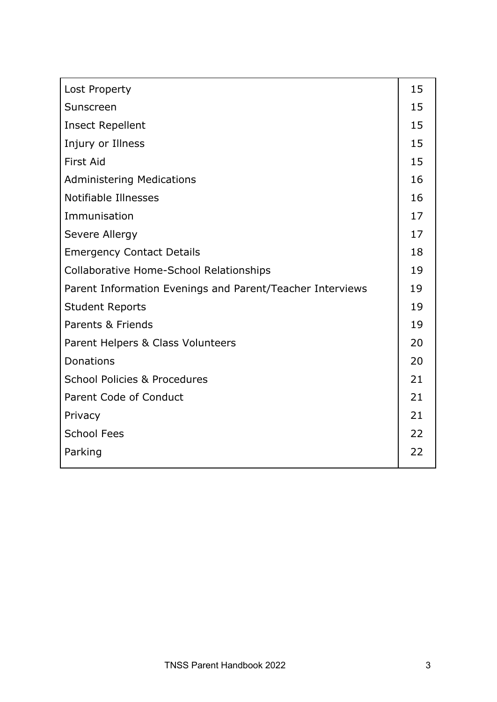| Lost Property                                             | 15 |
|-----------------------------------------------------------|----|
|                                                           |    |
| Sunscreen                                                 |    |
| <b>Insect Repellent</b>                                   |    |
| Injury or Illness                                         |    |
| <b>First Aid</b>                                          | 15 |
| <b>Administering Medications</b>                          | 16 |
| Notifiable Illnesses                                      | 16 |
| Immunisation                                              | 17 |
| Severe Allergy                                            | 17 |
| <b>Emergency Contact Details</b>                          |    |
| Collaborative Home-School Relationships                   |    |
| Parent Information Evenings and Parent/Teacher Interviews |    |
| <b>Student Reports</b>                                    | 19 |
| Parents & Friends                                         | 19 |
| Parent Helpers & Class Volunteers                         | 20 |
| Donations                                                 | 20 |
| <b>School Policies &amp; Procedures</b>                   | 21 |
| Parent Code of Conduct                                    | 21 |
| Privacy                                                   | 21 |
| <b>School Fees</b>                                        | 22 |
| Parking                                                   | 22 |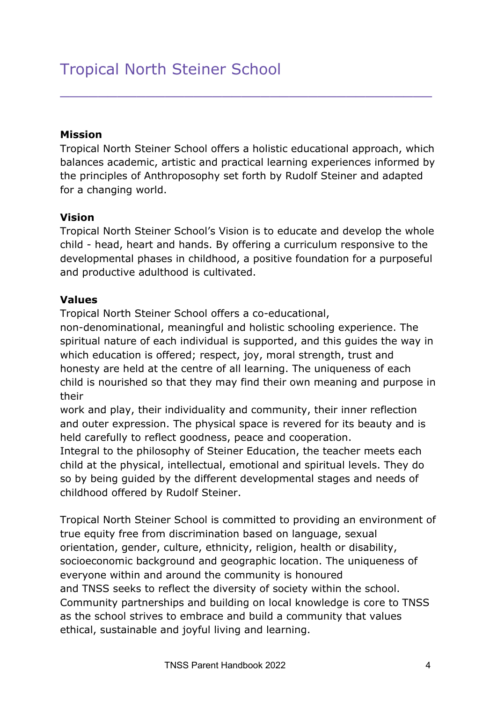#### **Mission**

Tropical North Steiner School offers a holistic educational approach, which balances academic, artistic and practical learning experiences informed by the principles of Anthroposophy set forth by Rudolf Steiner and adapted for a changing world.

\_\_\_\_\_\_\_\_\_\_\_\_\_\_\_\_\_\_\_\_\_\_\_\_\_\_\_\_\_\_\_\_\_\_\_\_\_\_\_

#### **Vision**

Tropical North Steiner School's Vision is to educate and develop the whole child - head, heart and hands. By offering a curriculum responsive to the developmental phases in childhood, a positive foundation for a purposeful and productive adulthood is cultivated.

#### **Values**

Tropical North Steiner School offers a co-educational,

non-denominational, meaningful and holistic schooling experience. The spiritual nature of each individual is supported, and this guides the way in which education is offered; respect, joy, moral strength, trust and honesty are held at the centre of all learning. The uniqueness of each child is nourished so that they may find their own meaning and purpose in their

work and play, their individuality and community, their inner reflection and outer expression. The physical space is revered for its beauty and is held carefully to reflect goodness, peace and cooperation.

Integral to the philosophy of Steiner Education, the teacher meets each child at the physical, intellectual, emotional and spiritual levels. They do so by being guided by the different developmental stages and needs of childhood offered by Rudolf Steiner.

Tropical North Steiner School is committed to providing an environment of true equity free from discrimination based on language, sexual orientation, gender, culture, ethnicity, religion, health or disability, socioeconomic background and geographic location. The uniqueness of everyone within and around the community is honoured and TNSS seeks to reflect the diversity of society within the school. Community partnerships and building on local knowledge is core to TNSS as the school strives to embrace and build a community that values ethical, sustainable and joyful living and learning.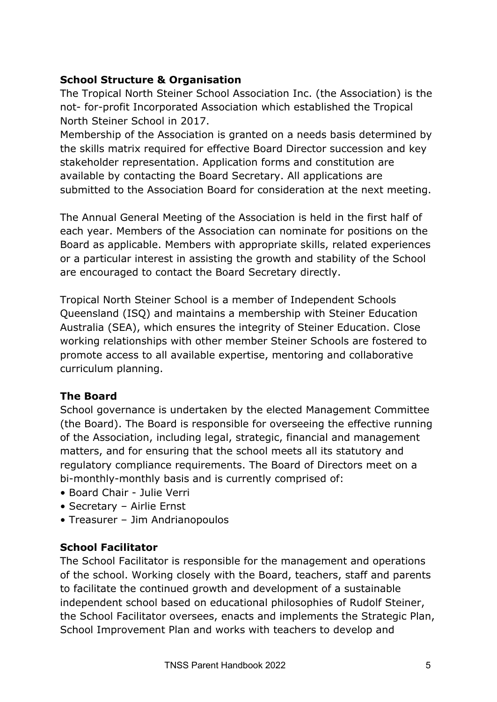## **School Structure & Organisation**

The Tropical North Steiner School Association Inc. (the Association) is the not- for-profit Incorporated Association which established the Tropical North Steiner School in 2017.

Membership of the Association is granted on a needs basis determined by the skills matrix required for effective Board Director succession and key stakeholder representation. Application forms and constitution are available by contacting the Board Secretary. All applications are submitted to the Association Board for consideration at the next meeting.

The Annual General Meeting of the Association is held in the first half of each year. Members of the Association can nominate for positions on the Board as applicable. Members with appropriate skills, related experiences or a particular interest in assisting the growth and stability of the School are encouraged to contact the Board Secretary directly.

Tropical North Steiner School is a member of Independent Schools Queensland (ISQ) and maintains a membership with Steiner Education Australia (SEA), which ensures the integrity of Steiner Education. Close working relationships with other member Steiner Schools are fostered to promote access to all available expertise, mentoring and collaborative curriculum planning.

## **The Board**

School governance is undertaken by the elected Management Committee (the Board). The Board is responsible for overseeing the effective running of the Association, including legal, strategic, financial and management matters, and for ensuring that the school meets all its statutory and regulatory compliance requirements. The Board of Directors meet on a bi-monthly-monthly basis and is currently comprised of:

- Board Chair Julie Verri
- Secretary Airlie Ernst
- Treasurer Jim Andrianopoulos

## **School Facilitator**

The School Facilitator is responsible for the management and operations of the school. Working closely with the Board, teachers, staff and parents to facilitate the continued growth and development of a sustainable independent school based on educational philosophies of Rudolf Steiner, the School Facilitator oversees, enacts and implements the Strategic Plan, School Improvement Plan and works with teachers to develop and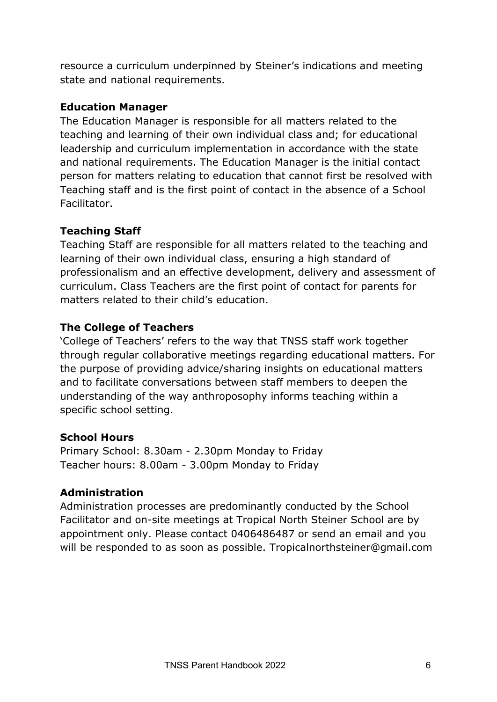resource a curriculum underpinned by Steiner's indications and meeting state and national requirements.

## **Education Manager**

The Education Manager is responsible for all matters related to the teaching and learning of their own individual class and; for educational leadership and curriculum implementation in accordance with the state and national requirements. The Education Manager is the initial contact person for matters relating to education that cannot first be resolved with Teaching staff and is the first point of contact in the absence of a School Facilitator.

## **Teaching Staff**

Teaching Staff are responsible for all matters related to the teaching and learning of their own individual class, ensuring a high standard of professionalism and an effective development, delivery and assessment of curriculum. Class Teachers are the first point of contact for parents for matters related to their child's education.

## **The College of Teachers**

'College of Teachers' refers to the way that TNSS staff work together through regular collaborative meetings regarding educational matters. For the purpose of providing advice/sharing insights on educational matters and to facilitate conversations between staff members to deepen the understanding of the way anthroposophy informs teaching within a specific school setting.

## **School Hours**

Primary School: 8.30am - 2.30pm Monday to Friday Teacher hours: 8.00am - 3.00pm Monday to Friday

## **Administration**

Administration processes are predominantly conducted by the School Facilitator and on-site meetings at Tropical North Steiner School are by appointment only. Please contact 0406486487 or send an email and you will be responded to as soon as possible. Tropicalnorthsteiner@gmail.com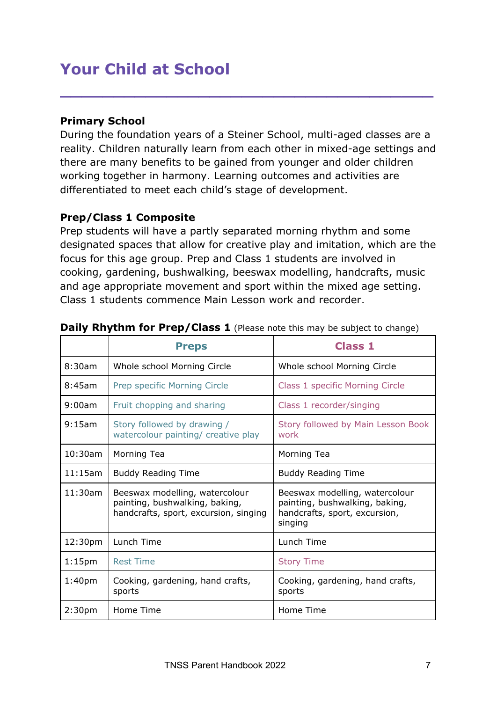# **Your Child at School**

## **Primary School**

During the foundation years of a Steiner School, multi-aged classes are a reality. Children naturally learn from each other in mixed-age settings and there are many benefits to be gained from younger and older children working together in harmony. Learning outcomes and activities are differentiated to meet each child's stage of development.

**\_\_\_\_\_\_\_\_\_\_\_\_\_\_\_\_\_\_\_\_\_\_\_\_\_\_\_\_\_\_\_\_\_\_\_**

## **Prep/Class 1 Composite**

Prep students will have a partly separated morning rhythm and some designated spaces that allow for creative play and imitation, which are the focus for this age group. Prep and Class 1 students are involved in cooking, gardening, bushwalking, beeswax modelling, handcrafts, music and age appropriate movement and sport within the mixed age setting. Class 1 students commence Main Lesson work and recorder.

|                    | <b>Preps</b>                                                                                              | <b>Class 1</b>                                                                                               |
|--------------------|-----------------------------------------------------------------------------------------------------------|--------------------------------------------------------------------------------------------------------------|
| 8:30am             | Whole school Morning Circle                                                                               | Whole school Morning Circle                                                                                  |
| 8:45am             | Prep specific Morning Circle                                                                              | Class 1 specific Morning Circle                                                                              |
| 9:00am             | Fruit chopping and sharing                                                                                | Class 1 recorder/singing                                                                                     |
| 9:15am             | Story followed by drawing /<br>watercolour painting/ creative play                                        | Story followed by Main Lesson Book<br>work                                                                   |
| 10:30am            | Morning Tea                                                                                               | Morning Tea                                                                                                  |
| 11:15am            | <b>Buddy Reading Time</b>                                                                                 | <b>Buddy Reading Time</b>                                                                                    |
| 11:30am            | Beeswax modelling, watercolour<br>painting, bushwalking, baking,<br>handcrafts, sport, excursion, singing | Beeswax modelling, watercolour<br>painting, bushwalking, baking,<br>handcrafts, sport, excursion,<br>singing |
| 12:30pm            | Lunch Time                                                                                                | Lunch Time                                                                                                   |
| 1:15 <sub>pm</sub> | <b>Rest Time</b>                                                                                          | <b>Story Time</b>                                                                                            |
| 1:40 <sub>pm</sub> | Cooking, gardening, hand crafts,<br>sports                                                                | Cooking, gardening, hand crafts,<br>sports                                                                   |
| 2:30 <sub>pm</sub> | Home Time                                                                                                 | Home Time                                                                                                    |

#### **Daily Rhythm for Prep/Class 1** (Please note this may be subject to change)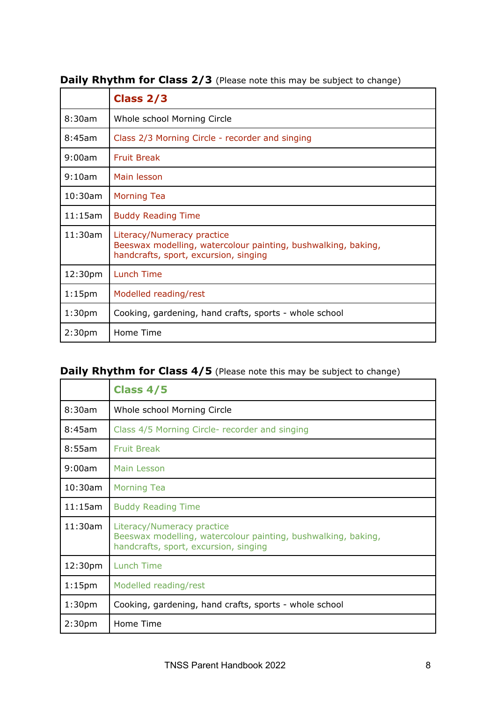|                    | Class $2/3$                                                                                                                          |  |
|--------------------|--------------------------------------------------------------------------------------------------------------------------------------|--|
| 8:30am             | Whole school Morning Circle                                                                                                          |  |
| 8:45am             | Class 2/3 Morning Circle - recorder and singing                                                                                      |  |
| 9:00am             | <b>Fruit Break</b>                                                                                                                   |  |
| 9:10am             | Main lesson                                                                                                                          |  |
| $10:30$ am         | <b>Morning Tea</b>                                                                                                                   |  |
| 11:15am            | <b>Buddy Reading Time</b>                                                                                                            |  |
| 11:30am            | Literacy/Numeracy practice<br>Beeswax modelling, watercolour painting, bushwalking, baking,<br>handcrafts, sport, excursion, singing |  |
| 12:30pm            | <b>Lunch Time</b>                                                                                                                    |  |
| 1:15 <sub>pm</sub> | Modelled reading/rest                                                                                                                |  |
| 1:30 <sub>pm</sub> | Cooking, gardening, hand crafts, sports - whole school                                                                               |  |
| 2:30 <sub>pm</sub> | Home Time                                                                                                                            |  |

## **Daily Rhythm for Class 2/3** (Please note this may be subject to change)

# **Daily Rhythm for Class 4/5** (Please note this may be subject to change)

|                    | Class 4/5                                                                                                                            |
|--------------------|--------------------------------------------------------------------------------------------------------------------------------------|
| 8:30am             | Whole school Morning Circle                                                                                                          |
| 8:45am             | Class 4/5 Morning Circle- recorder and singing                                                                                       |
| 8:55am             | <b>Fruit Break</b>                                                                                                                   |
| 9:00am             | Main Lesson                                                                                                                          |
| 10:30am            | <b>Morning Tea</b>                                                                                                                   |
| 11:15am            | <b>Buddy Reading Time</b>                                                                                                            |
| 11:30am            | Literacy/Numeracy practice<br>Beeswax modelling, watercolour painting, bushwalking, baking,<br>handcrafts, sport, excursion, singing |
| 12:30pm            | Lunch Time                                                                                                                           |
| 1:15 <sub>pm</sub> | Modelled reading/rest                                                                                                                |
| 1:30 <sub>pm</sub> | Cooking, gardening, hand crafts, sports - whole school                                                                               |
| 2:30 <sub>pm</sub> | Home Time                                                                                                                            |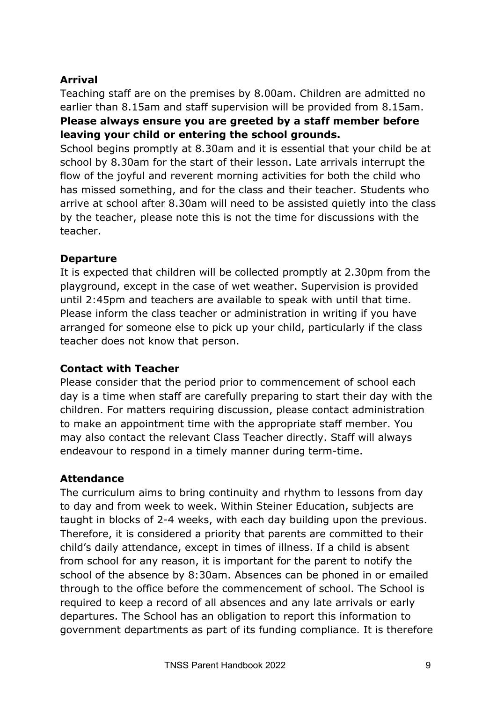## **Arrival**

Teaching staff are on the premises by 8.00am. Children are admitted no earlier than 8.15am and staff supervision will be provided from 8.15am. **Please always ensure you are greeted by a staff member before leaving your child or entering the school grounds.**

School begins promptly at 8.30am and it is essential that your child be at school by 8.30am for the start of their lesson. Late arrivals interrupt the flow of the joyful and reverent morning activities for both the child who has missed something, and for the class and their teacher. Students who arrive at school after 8.30am will need to be assisted quietly into the class by the teacher, please note this is not the time for discussions with the teacher.

## **Departure**

It is expected that children will be collected promptly at 2.30pm from the playground, except in the case of wet weather. Supervision is provided until 2:45pm and teachers are available to speak with until that time. Please inform the class teacher or administration in writing if you have arranged for someone else to pick up your child, particularly if the class teacher does not know that person.

#### **Contact with Teacher**

Please consider that the period prior to commencement of school each day is a time when staff are carefully preparing to start their day with the children. For matters requiring discussion, please contact administration to make an appointment time with the appropriate staff member. You may also contact the relevant Class Teacher directly. Staff will always endeavour to respond in a timely manner during term-time.

#### **Attendance**

The curriculum aims to bring continuity and rhythm to lessons from day to day and from week to week. Within Steiner Education, subjects are taught in blocks of 2-4 weeks, with each day building upon the previous. Therefore, it is considered a priority that parents are committed to their child's daily attendance, except in times of illness. If a child is absent from school for any reason, it is important for the parent to notify the school of the absence by 8:30am. Absences can be phoned in or emailed through to the office before the commencement of school. The School is required to keep a record of all absences and any late arrivals or early departures. The School has an obligation to report this information to government departments as part of its funding compliance. It is therefore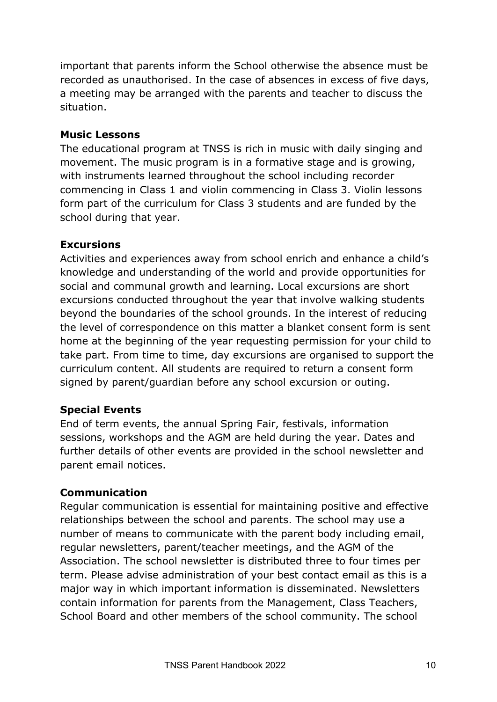important that parents inform the School otherwise the absence must be recorded as unauthorised. In the case of absences in excess of five days, a meeting may be arranged with the parents and teacher to discuss the situation.

#### **Music Lessons**

The educational program at TNSS is rich in music with daily singing and movement. The music program is in a formative stage and is growing, with instruments learned throughout the school including recorder commencing in Class 1 and violin commencing in Class 3. Violin lessons form part of the curriculum for Class 3 students and are funded by the school during that year.

## **Excursions**

Activities and experiences away from school enrich and enhance a child's knowledge and understanding of the world and provide opportunities for social and communal growth and learning. Local excursions are short excursions conducted throughout the year that involve walking students beyond the boundaries of the school grounds. In the interest of reducing the level of correspondence on this matter a blanket consent form is sent home at the beginning of the year requesting permission for your child to take part. From time to time, day excursions are organised to support the curriculum content. All students are required to return a consent form signed by parent/guardian before any school excursion or outing.

## **Special Events**

End of term events, the annual Spring Fair, festivals, information sessions, workshops and the AGM are held during the year. Dates and further details of other events are provided in the school newsletter and parent email notices.

#### **Communication**

Regular communication is essential for maintaining positive and effective relationships between the school and parents. The school may use a number of means to communicate with the parent body including email, regular newsletters, parent/teacher meetings, and the AGM of the Association. The school newsletter is distributed three to four times per term. Please advise administration of your best contact email as this is a major way in which important information is disseminated. Newsletters contain information for parents from the Management, Class Teachers, School Board and other members of the school community. The school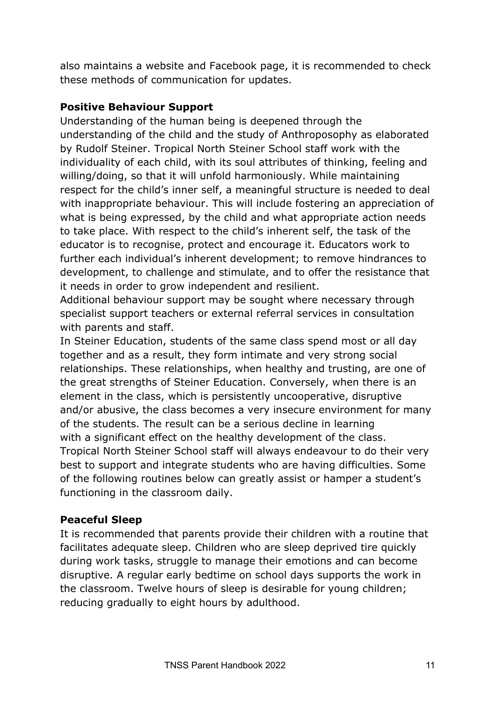also maintains a website and Facebook page, it is recommended to check these methods of communication for updates.

## **Positive Behaviour Support**

Understanding of the human being is deepened through the understanding of the child and the study of Anthroposophy as elaborated by Rudolf Steiner. Tropical North Steiner School staff work with the individuality of each child, with its soul attributes of thinking, feeling and willing/doing, so that it will unfold harmoniously. While maintaining respect for the child's inner self, a meaningful structure is needed to deal with inappropriate behaviour. This will include fostering an appreciation of what is being expressed, by the child and what appropriate action needs to take place. With respect to the child's inherent self, the task of the educator is to recognise, protect and encourage it. Educators work to further each individual's inherent development; to remove hindrances to development, to challenge and stimulate, and to offer the resistance that it needs in order to grow independent and resilient.

Additional behaviour support may be sought where necessary through specialist support teachers or external referral services in consultation with parents and staff.

In Steiner Education, students of the same class spend most or all day together and as a result, they form intimate and very strong social relationships. These relationships, when healthy and trusting, are one of the great strengths of Steiner Education. Conversely, when there is an element in the class, which is persistently uncooperative, disruptive and/or abusive, the class becomes a very insecure environment for many of the students. The result can be a serious decline in learning with a significant effect on the healthy development of the class. Tropical North Steiner School staff will always endeavour to do their very best to support and integrate students who are having difficulties. Some of the following routines below can greatly assist or hamper a student's functioning in the classroom daily.

## **Peaceful Sleep**

It is recommended that parents provide their children with a routine that facilitates adequate sleep. Children who are sleep deprived tire quickly during work tasks, struggle to manage their emotions and can become disruptive. A regular early bedtime on school days supports the work in the classroom. Twelve hours of sleep is desirable for young children; reducing gradually to eight hours by adulthood.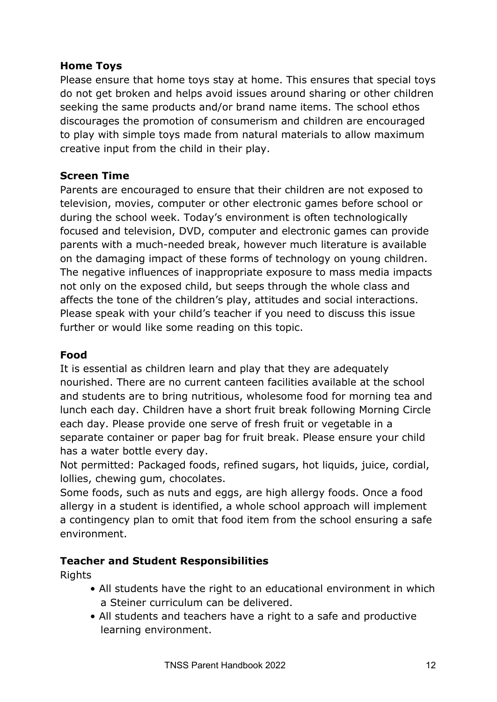## **Home Toys**

Please ensure that home toys stay at home. This ensures that special toys do not get broken and helps avoid issues around sharing or other children seeking the same products and/or brand name items. The school ethos discourages the promotion of consumerism and children are encouraged to play with simple toys made from natural materials to allow maximum creative input from the child in their play.

## **Screen Time**

Parents are encouraged to ensure that their children are not exposed to television, movies, computer or other electronic games before school or during the school week. Today's environment is often technologically focused and television, DVD, computer and electronic games can provide parents with a much-needed break, however much literature is available on the damaging impact of these forms of technology on young children. The negative influences of inappropriate exposure to mass media impacts not only on the exposed child, but seeps through the whole class and affects the tone of the children's play, attitudes and social interactions. Please speak with your child's teacher if you need to discuss this issue further or would like some reading on this topic.

## **Food**

It is essential as children learn and play that they are adequately nourished. There are no current canteen facilities available at the school and students are to bring nutritious, wholesome food for morning tea and lunch each day. Children have a short fruit break following Morning Circle each day. Please provide one serve of fresh fruit or vegetable in a separate container or paper bag for fruit break. Please ensure your child has a water bottle every day.

Not permitted: Packaged foods, refined sugars, hot liquids, juice, cordial, lollies, chewing gum, chocolates.

Some foods, such as nuts and eggs, are high allergy foods. Once a food allergy in a student is identified, a whole school approach will implement a contingency plan to omit that food item from the school ensuring a safe environment.

## **Teacher and Student Responsibilities**

Rights

- All students have the right to an educational environment in which a Steiner curriculum can be delivered.
- All students and teachers have a right to a safe and productive learning environment.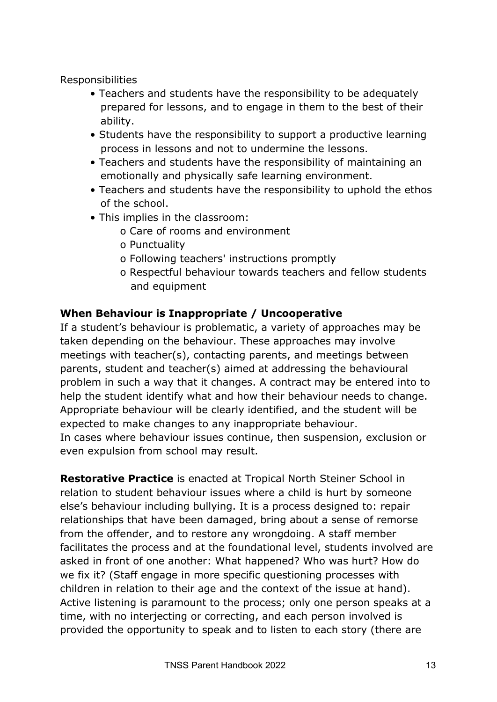Responsibilities

- Teachers and students have the responsibility to be adequately prepared for lessons, and to engage in them to the best of their ability.
- Students have the responsibility to support a productive learning process in lessons and not to undermine the lessons.
- Teachers and students have the responsibility of maintaining an emotionally and physically safe learning environment.
- Teachers and students have the responsibility to uphold the ethos of the school.
- This implies in the classroom:
	- o Care of rooms and environment
	- o Punctuality
	- o Following teachers' instructions promptly
	- o Respectful behaviour towards teachers and fellow students and equipment

## **When Behaviour is Inappropriate / Uncooperative**

If a student's behaviour is problematic, a variety of approaches may be taken depending on the behaviour. These approaches may involve meetings with teacher(s), contacting parents, and meetings between parents, student and teacher(s) aimed at addressing the behavioural problem in such a way that it changes. A contract may be entered into to help the student identify what and how their behaviour needs to change. Appropriate behaviour will be clearly identified, and the student will be expected to make changes to any inappropriate behaviour. In cases where behaviour issues continue, then suspension, exclusion or even expulsion from school may result.

**Restorative Practice** is enacted at Tropical North Steiner School in relation to student behaviour issues where a child is hurt by someone else's behaviour including bullying. It is a process designed to: repair relationships that have been damaged, bring about a sense of remorse from the offender, and to restore any wrongdoing. A staff member facilitates the process and at the foundational level, students involved are asked in front of one another: What happened? Who was hurt? How do we fix it? (Staff engage in more specific questioning processes with children in relation to their age and the context of the issue at hand). Active listening is paramount to the process; only one person speaks at a time, with no interjecting or correcting, and each person involved is provided the opportunity to speak and to listen to each story (there are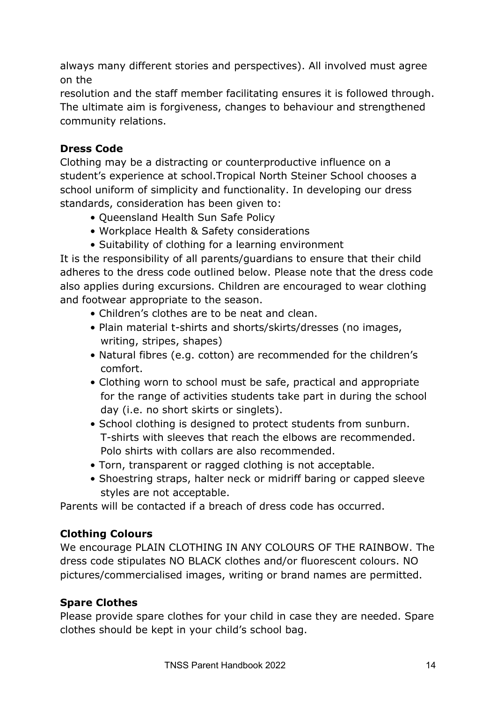always many different stories and perspectives). All involved must agree on the

resolution and the staff member facilitating ensures it is followed through. The ultimate aim is forgiveness, changes to behaviour and strengthened community relations.

# **Dress Code**

Clothing may be a distracting or counterproductive influence on a student's experience at school.Tropical North Steiner School chooses a school uniform of simplicity and functionality. In developing our dress standards, consideration has been given to:

- Queensland Health Sun Safe Policy
- Workplace Health & Safety considerations
- Suitability of clothing for a learning environment

It is the responsibility of all parents/guardians to ensure that their child adheres to the dress code outlined below. Please note that the dress code also applies during excursions. Children are encouraged to wear clothing and footwear appropriate to the season.

- Children's clothes are to be neat and clean.
- Plain material t-shirts and shorts/skirts/dresses (no images, writing, stripes, shapes)
- Natural fibres (e.g. cotton) are recommended for the children's comfort.
- Clothing worn to school must be safe, practical and appropriate for the range of activities students take part in during the school day (i.e. no short skirts or singlets).
- School clothing is designed to protect students from sunburn. T-shirts with sleeves that reach the elbows are recommended. Polo shirts with collars are also recommended.
- Torn, transparent or ragged clothing is not acceptable.
- Shoestring straps, halter neck or midriff baring or capped sleeve styles are not acceptable.

Parents will be contacted if a breach of dress code has occurred.

## **Clothing Colours**

We encourage PLAIN CLOTHING IN ANY COLOURS OF THE RAINBOW. The dress code stipulates NO BLACK clothes and/or fluorescent colours. NO pictures/commercialised images, writing or brand names are permitted.

## **Spare Clothes**

Please provide spare clothes for your child in case they are needed. Spare clothes should be kept in your child's school bag.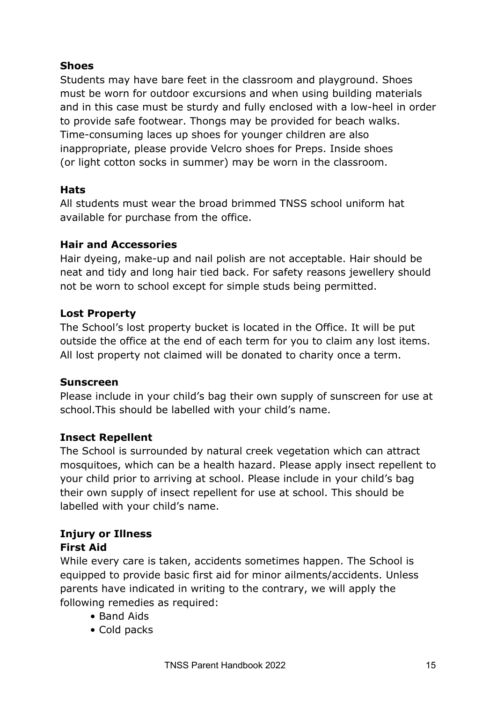## **Shoes**

Students may have bare feet in the classroom and playground. Shoes must be worn for outdoor excursions and when using building materials and in this case must be sturdy and fully enclosed with a low-heel in order to provide safe footwear. Thongs may be provided for beach walks. Time-consuming laces up shoes for younger children are also inappropriate, please provide Velcro shoes for Preps. Inside shoes (or light cotton socks in summer) may be worn in the classroom.

## **Hats**

All students must wear the broad brimmed TNSS school uniform hat available for purchase from the office.

## **Hair and Accessories**

Hair dyeing, make-up and nail polish are not acceptable. Hair should be neat and tidy and long hair tied back. For safety reasons jewellery should not be worn to school except for simple studs being permitted.

## **Lost Property**

The School's lost property bucket is located in the Office. It will be put outside the office at the end of each term for you to claim any lost items. All lost property not claimed will be donated to charity once a term.

## **Sunscreen**

Please include in your child's bag their own supply of sunscreen for use at school.This should be labelled with your child's name.

## **Insect Repellent**

The School is surrounded by natural creek vegetation which can attract mosquitoes, which can be a health hazard. Please apply insect repellent to your child prior to arriving at school. Please include in your child's bag their own supply of insect repellent for use at school. This should be labelled with your child's name.

# **Injury or Illness First Aid**

While every care is taken, accidents sometimes happen. The School is equipped to provide basic first aid for minor ailments/accidents. Unless parents have indicated in writing to the contrary, we will apply the following remedies as required:

- Band Aids
- Cold packs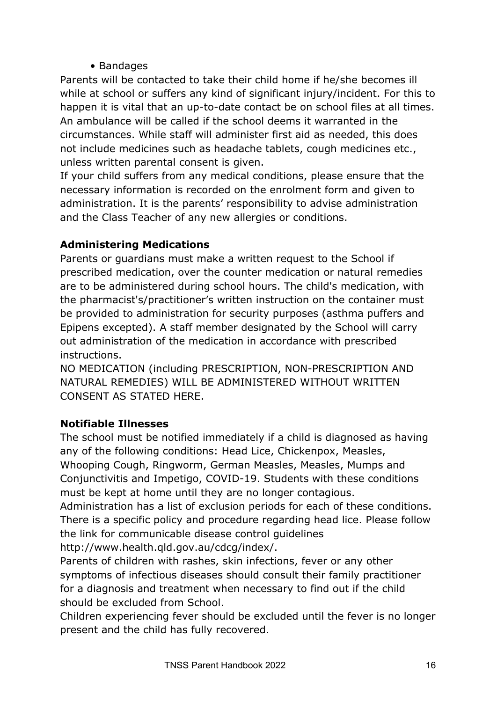## • Bandages

Parents will be contacted to take their child home if he/she becomes ill while at school or suffers any kind of significant injury/incident. For this to happen it is vital that an up-to-date contact be on school files at all times. An ambulance will be called if the school deems it warranted in the circumstances. While staff will administer first aid as needed, this does not include medicines such as headache tablets, cough medicines etc., unless written parental consent is given.

If your child suffers from any medical conditions, please ensure that the necessary information is recorded on the enrolment form and given to administration. It is the parents' responsibility to advise administration and the Class Teacher of any new allergies or conditions.

## **Administering Medications**

Parents or guardians must make a written request to the School if prescribed medication, over the counter medication or natural remedies are to be administered during school hours. The child's medication, with the pharmacist's/practitioner's written instruction on the container must be provided to administration for security purposes (asthma puffers and Epipens excepted). A staff member designated by the School will carry out administration of the medication in accordance with prescribed instructions.

NO MEDICATION (including PRESCRIPTION, NON-PRESCRIPTION AND NATURAL REMEDIES) WILL BE ADMINISTERED WITHOUT WRITTEN CONSENT AS STATED HERE.

## **Notifiable Illnesses**

The school must be notified immediately if a child is diagnosed as having any of the following conditions: Head Lice, Chickenpox, Measles, Whooping Cough, Ringworm, German Measles, Measles, Mumps and Conjunctivitis and Impetigo, COVID-19. Students with these conditions must be kept at home until they are no longer contagious.

Administration has a list of exclusion periods for each of these conditions. There is a specific policy and procedure regarding head lice. Please follow the link for communicable disease control guidelines

http://www.health.qld.gov.au/cdcg/index/.

Parents of children with rashes, skin infections, fever or any other symptoms of infectious diseases should consult their family practitioner for a diagnosis and treatment when necessary to find out if the child should be excluded from School.

Children experiencing fever should be excluded until the fever is no longer present and the child has fully recovered.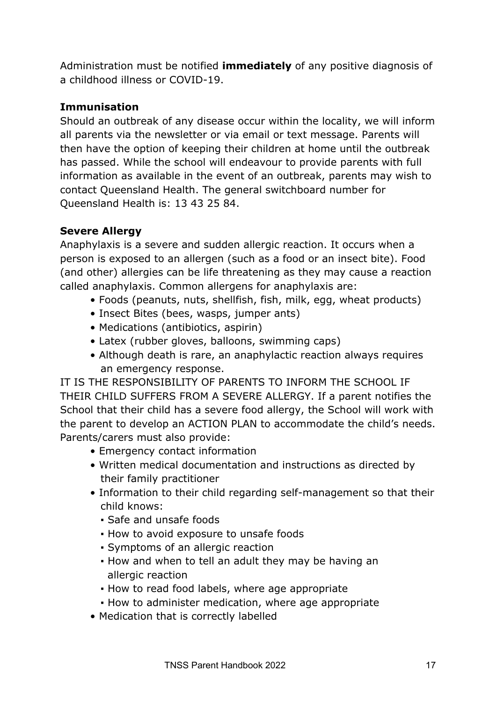Administration must be notified **immediately** of any positive diagnosis of a childhood illness or COVID-19.

## **Immunisation**

Should an outbreak of any disease occur within the locality, we will inform all parents via the newsletter or via email or text message. Parents will then have the option of keeping their children at home until the outbreak has passed. While the school will endeavour to provide parents with full information as available in the event of an outbreak, parents may wish to contact Queensland Health. The general switchboard number for Queensland Health is: 13 43 25 84.

# **Severe Allergy**

Anaphylaxis is a severe and sudden allergic reaction. It occurs when a person is exposed to an allergen (such as a food or an insect bite). Food (and other) allergies can be life threatening as they may cause a reaction called anaphylaxis. Common allergens for anaphylaxis are:

- Foods (peanuts, nuts, shellfish, fish, milk, egg, wheat products)
- Insect Bites (bees, wasps, jumper ants)
- Medications (antibiotics, aspirin)
- Latex (rubber gloves, balloons, swimming caps)
- Although death is rare, an anaphylactic reaction always requires an emergency response.

IT IS THE RESPONSIBILITY OF PARENTS TO INFORM THE SCHOOL IF THEIR CHILD SUFFERS FROM A SEVERE ALLERGY. If a parent notifies the School that their child has a severe food allergy, the School will work with the parent to develop an ACTION PLAN to accommodate the child's needs. Parents/carers must also provide:

- Emergency contact information
- Written medical documentation and instructions as directed by their family practitioner
- Information to their child regarding self-management so that their child knows:
	- Safe and unsafe foods
	- **.** How to avoid exposure to unsafe foods
	- Symptoms of an allergic reaction
	- How and when to tell an adult they may be having an allergic reaction
	- How to read food labels, where age appropriate
	- How to administer medication, where age appropriate
- Medication that is correctly labelled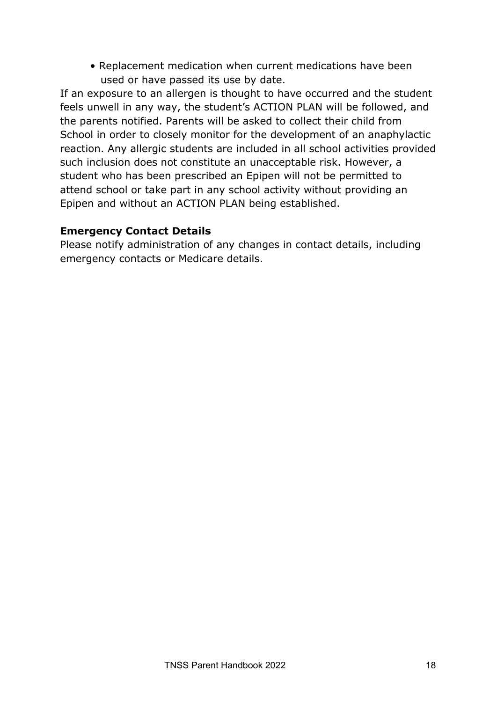• Replacement medication when current medications have been used or have passed its use by date.

If an exposure to an allergen is thought to have occurred and the student feels unwell in any way, the student's ACTION PLAN will be followed, and the parents notified. Parents will be asked to collect their child from School in order to closely monitor for the development of an anaphylactic reaction. Any allergic students are included in all school activities provided such inclusion does not constitute an unacceptable risk. However, a student who has been prescribed an Epipen will not be permitted to attend school or take part in any school activity without providing an Epipen and without an ACTION PLAN being established.

## **Emergency Contact Details**

Please notify administration of any changes in contact details, including emergency contacts or Medicare details.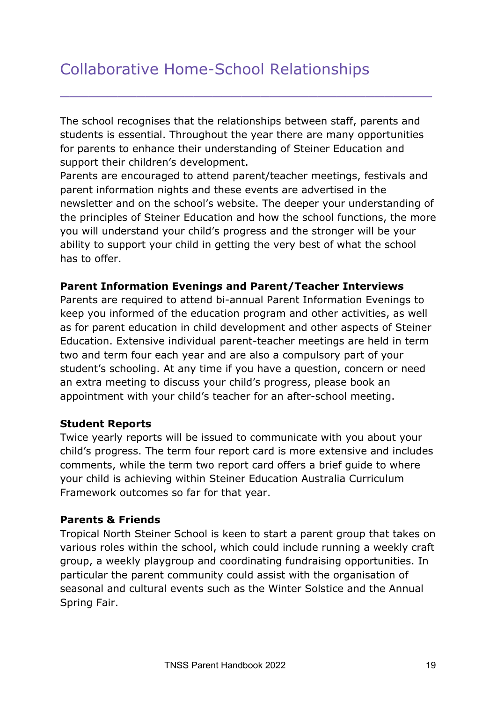# Collaborative Home-School Relationships

The school recognises that the relationships between staff, parents and students is essential. Throughout the year there are many opportunities for parents to enhance their understanding of Steiner Education and support their children's development.

\_\_\_\_\_\_\_\_\_\_\_\_\_\_\_\_\_\_\_\_\_\_\_\_\_\_\_\_\_\_\_\_\_\_\_\_\_\_\_

Parents are encouraged to attend parent/teacher meetings, festivals and parent information nights and these events are advertised in the newsletter and on the school's website. The deeper your understanding of the principles of Steiner Education and how the school functions, the more you will understand your child's progress and the stronger will be your ability to support your child in getting the very best of what the school has to offer.

#### **Parent Information Evenings and Parent/Teacher Interviews**

Parents are required to attend bi-annual Parent Information Evenings to keep you informed of the education program and other activities, as well as for parent education in child development and other aspects of Steiner Education. Extensive individual parent-teacher meetings are held in term two and term four each year and are also a compulsory part of your student's schooling. At any time if you have a question, concern or need an extra meeting to discuss your child's progress, please book an appointment with your child's teacher for an after-school meeting.

#### **Student Reports**

Twice yearly reports will be issued to communicate with you about your child's progress. The term four report card is more extensive and includes comments, while the term two report card offers a brief guide to where your child is achieving within Steiner Education Australia Curriculum Framework outcomes so far for that year.

#### **Parents & Friends**

Tropical North Steiner School is keen to start a parent group that takes on various roles within the school, which could include running a weekly craft group, a weekly playgroup and coordinating fundraising opportunities. In particular the parent community could assist with the organisation of seasonal and cultural events such as the Winter Solstice and the Annual Spring Fair.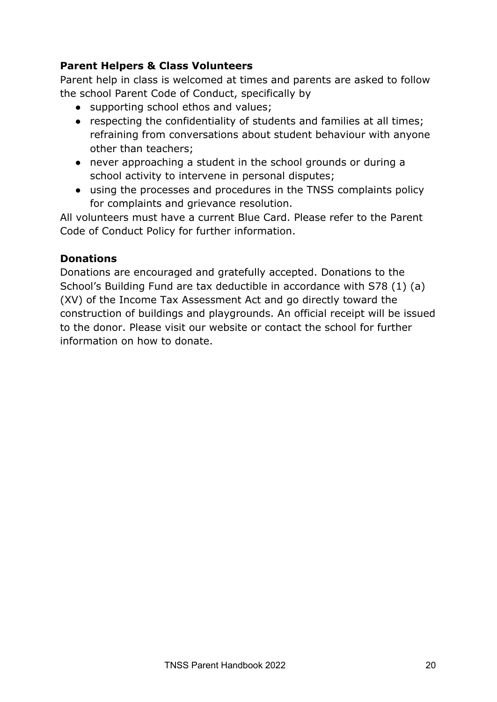## **Parent Helpers & Class Volunteers**

Parent help in class is welcomed at times and parents are asked to follow the school Parent Code of Conduct, specifically by

- supporting school ethos and values;
- respecting the confidentiality of students and families at all times; refraining from conversations about student behaviour with anyone other than teachers;
- never approaching a student in the school grounds or during a school activity to intervene in personal disputes;
- using the processes and procedures in the TNSS complaints policy for complaints and grievance resolution.

All volunteers must have a current Blue Card. Please refer to the Parent Code of Conduct Policy for further information.

## **Donations**

Donations are encouraged and gratefully accepted. Donations to the School's Building Fund are tax deductible in accordance with S78 (1) (a) (XV) of the Income Tax Assessment Act and go directly toward the construction of buildings and playgrounds. An official receipt will be issued to the donor. Please visit our website or contact the school for further information on how to donate.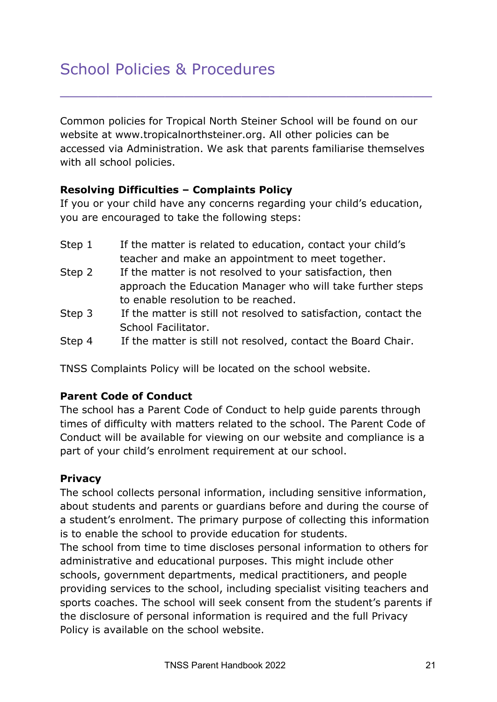Common policies for Tropical North Steiner School will be found on our website at www.tropicalnorthsteiner.org. All other policies can be accessed via Administration. We ask that parents familiarise themselves with all school policies.

\_\_\_\_\_\_\_\_\_\_\_\_\_\_\_\_\_\_\_\_\_\_\_\_\_\_\_\_\_\_\_\_\_\_\_\_\_\_\_

## **Resolving Difficulties – Complaints Policy**

If you or your child have any concerns regarding your child's education, you are encouraged to take the following steps:

- Step 1 If the matter is related to education, contact your child's teacher and make an appointment to meet together.
- Step 2 If the matter is not resolved to your satisfaction, then approach the Education Manager who will take further steps to enable resolution to be reached.
- Step 3 If the matter is still not resolved to satisfaction, contact the School Facilitator.
- Step 4 If the matter is still not resolved, contact the Board Chair.

TNSS Complaints Policy will be located on the school website.

## **Parent Code of Conduct**

The school has a Parent Code of Conduct to help guide parents through times of difficulty with matters related to the school. The Parent Code of Conduct will be available for viewing on our website and compliance is a part of your child's enrolment requirement at our school.

## **Privacy**

The school collects personal information, including sensitive information, about students and parents or guardians before and during the course of a student's enrolment. The primary purpose of collecting this information is to enable the school to provide education for students.

The school from time to time discloses personal information to others for administrative and educational purposes. This might include other schools, government departments, medical practitioners, and people providing services to the school, including specialist visiting teachers and sports coaches. The school will seek consent from the student's parents if the disclosure of personal information is required and the full Privacy Policy is available on the school website.